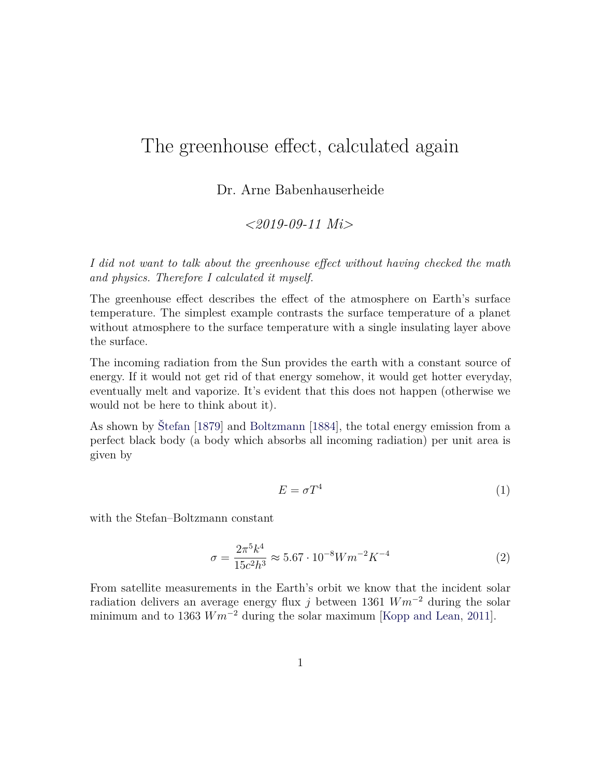## The greenhouse effect, calculated again

Dr. Arne Babenhauserheide

$$
<\!\!2019\text{-}09\text{-}11\ Mi\!\!>
$$

*I did not want to talk about the greenhouse effect without having checked the math and physics. Therefore I calculated it myself.*

The greenhouse effect describes the effect of the atmosphere on Earth's surface temperature. The simplest example contrasts the surface temperature of a planet without atmosphere to the surface temperature with a single insulating layer above the surface.

The incoming radiation from the Sun provides the earth with a constant source of energy. If it would not get rid of that energy somehow, it would get hotter everyday, eventually melt and vaporize. It's evident that this does not happen (otherwise we would not be here to think about it).

As shown by [Štefan](#page-8-0) [\[1879\]](#page-8-0) and [Boltzmann](#page-7-0) [\[1884\]](#page-7-0), the total energy emission from a perfect black body (a body which absorbs all incoming radiation) per unit area is given by

$$
E = \sigma T^4 \tag{1}
$$

with the Stefan–Boltzmann constant

$$
\sigma = \frac{2\pi^5 k^4}{15c^2 h^3} \approx 5.67 \cdot 10^{-8} W m^{-2} K^{-4}
$$
 (2)

From satellite measurements in the Earth's orbit we know that the incident solar radiation delivers an average energy flux *j* between 1361 *Wm*<sup>−</sup><sup>2</sup> during the solar minimum and to 1363  $Wm^{-2}$  during the solar maximum [\[Kopp and Lean,](#page-7-1) [2011\]](#page-7-1).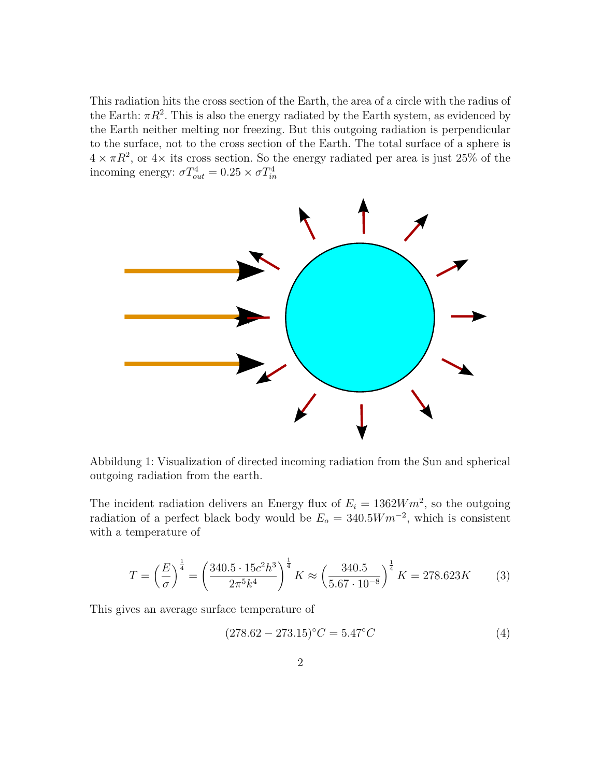This radiation hits the cross section of the Earth, the area of a circle with the radius of the Earth:  $\pi R^2$ . This is also the energy radiated by the Earth system, as evidenced by the Earth neither melting nor freezing. But this outgoing radiation is perpendicular to the surface, not to the cross section of the Earth. The total surface of a sphere is  $4 \times \pi R^2$ , or  $4 \times$  its cross section. So the energy radiated per area is just 25% of the incoming energy:  $\sigma T_{out}^4 = 0.25 \times \sigma T_{in}^4$ 



Abbildung 1: Visualization of directed incoming radiation from the Sun and spherical outgoing radiation from the earth.

The incident radiation delivers an Energy flux of  $E_i = 1362 W m^2$ , so the outgoing radiation of a perfect black body would be  $E_o = 340.5 W m^{-2}$ , which is consistent with a temperature of

$$
T = \left(\frac{E}{\sigma}\right)^{\frac{1}{4}} = \left(\frac{340.5 \cdot 15c^2 h^3}{2\pi^5 k^4}\right)^{\frac{1}{4}} K \approx \left(\frac{340.5}{5.67 \cdot 10^{-8}}\right)^{\frac{1}{4}} K = 278.623 K
$$
 (3)

This gives an average surface temperature of

$$
(278.62 - 273.15)^{\circ}C = 5.47^{\circ}C \tag{4}
$$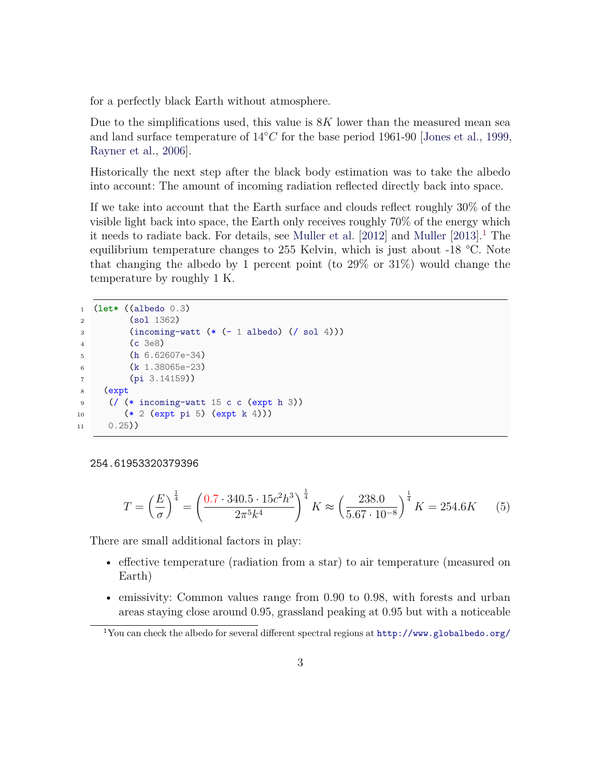for a perfectly black Earth without atmosphere.

Due to the simplifications used, this value is 8*K* lower than the measured mean sea and land surface temperature of 14◦*C* for the base period 1961-90 [\[Jones et al.,](#page-7-2) [1999,](#page-7-2) [Rayner et al.,](#page-8-1) [2006\]](#page-8-1).

Historically the next step after the black body estimation was to take the albedo into account: The amount of incoming radiation reflected directly back into space.

If we take into account that the Earth surface and clouds reflect roughly 30% of the visible light back into space, the Earth only receives roughly 70% of the energy which it needs to radiate back. For details, see [Muller et al.](#page-7-3) [\[2012\]](#page-7-3) and [Muller](#page-7-4) [\[2013\]](#page-7-4).[1](#page-2-0) The equilibrium temperature changes to 255 Kelvin, which is just about -18 °C. Note that changing the albedo by 1 percent point (to  $29\%$  or  $31\%$ ) would change the temperature by roughly 1 K.

```
1 (let* ((albedo 0.3)
2 (sol 1362)
3 (incoming-watt (* (- 1 <b>albedo</b>) (( s <b>ol</b> 4)))4 (c 3e8)
5 (h 6.62607e-34)
6 (k 1.38065e-23)
7 (pi 3.14159))
8 (expt
9 (/ (* incoming-watt 15 c c (expt h 3))
10 (* 2 (expt pi 5) (expt k 4)))
11 \qquad 0.25))
```
254.61953320379396

$$
T = \left(\frac{E}{\sigma}\right)^{\frac{1}{4}} = \left(\frac{0.7 \cdot 340.5 \cdot 15c^2 h^3}{2\pi^5 k^4}\right)^{\frac{1}{4}} K \approx \left(\frac{238.0}{5.67 \cdot 10^{-8}}\right)^{\frac{1}{4}} K = 254.6 K
$$
 (5)

There are small additional factors in play:

- effective temperature (radiation from a star) to air temperature (measured on Earth)
- emissivity: Common values range from 0.90 to 0.98, with forests and urban areas staying close around 0.95, grassland peaking at 0.95 but with a noticeable

<span id="page-2-0"></span><sup>&</sup>lt;sup>1</sup>You can check the albedo for several different spectral regions at  $http://www.globalbedo.org/$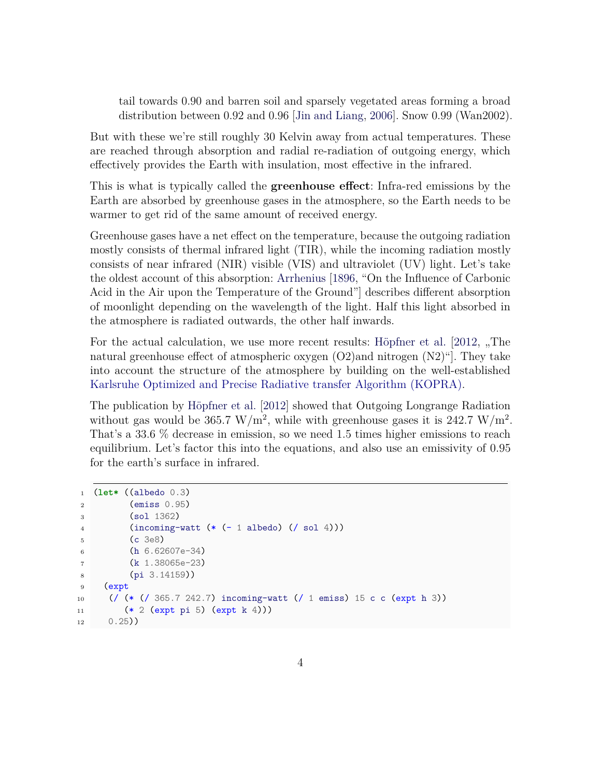tail towards 0.90 and barren soil and sparsely vegetated areas forming a broad distribution between 0.92 and 0.96 [\[Jin and Liang,](#page-7-5) [2006\]](#page-7-5). Snow 0.99 (Wan2002).

But with these we're still roughly 30 Kelvin away from actual temperatures. These are reached through absorption and radial re-radiation of outgoing energy, which effectively provides the Earth with insulation, most effective in the infrared.

This is what is typically called the **greenhouse effect**: Infra-red emissions by the Earth are absorbed by greenhouse gases in the atmosphere, so the Earth needs to be warmer to get rid of the same amount of received energy.

Greenhouse gases have a net effect on the temperature, because the outgoing radiation mostly consists of thermal infrared light (TIR), while the incoming radiation mostly consists of near infrared (NIR) visible (VIS) and ultraviolet (UV) light. Let's take the oldest account of this absorption: [Arrhenius](#page-7-6) [\[1896,](#page-7-6) "On the Influence of Carbonic Acid in the Air upon the Temperature of the Ground"] describes different absorption of moonlight depending on the wavelength of the light. Half this light absorbed in the atmosphere is radiated outwards, the other half inwards.

For the actual calculation, we use more recent results: [Höpfner et al.](#page-7-7)  $[2012, T]$  $[2012, T]$ natural greenhouse effect of atmospheric oxygen  $(O2)$  and nitrogen  $(N2)^{n}$ . They take into account the structure of the atmosphere by building on the well-established [Karlsruhe Optimized and Precise Radiative transfer Algorithm \(KOPRA\).](https://www.imk-asf.kit.edu/english/312.php)

The publication by [Höpfner et al.](#page-7-7) [\[2012\]](#page-7-7) showed that Outgoing Longrange Radiation without gas would be 365.7 W/m<sup>2</sup>, while with greenhouse gases it is 242.7 W/m<sup>2</sup>. That's a 33.6 % decrease in emission, so we need 1.5 times higher emissions to reach equilibrium. Let's factor this into the equations, and also use an emissivity of 0.95 for the earth's surface in infrared.

```
1 (let* ((albedo 0.3)
2 (emiss 0.95)
3 (sol 1362)
4 (incoming-watt (* (- 1 albedo) (/ sol 4)))
5 (c 3e8)
6 (h 6.62607e-34)
7 (k 1.38065e-23)
8 (pi 3.14159))
9 (expt
10 (/ (* (/ 365.7 242.7) incoming-watt (/ 1 emiss) 15 c c (expt h 3))
11 (* 2 (expt pi 5) (expt k 4)))
12 \qquad 0.25)
```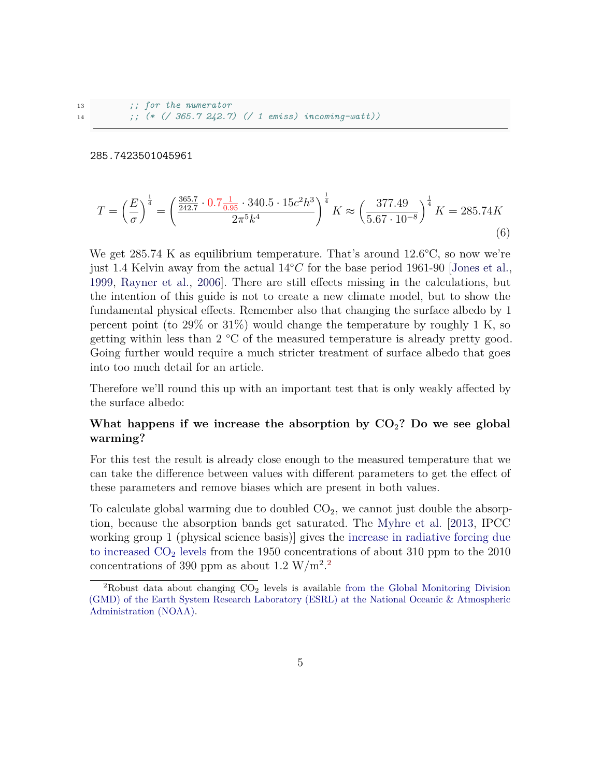<sup>13</sup> *;; for the numerator* <sup>14</sup> *;; (\* (/ 365.7 242.7) (/ 1 emiss) incoming-watt))*

285.7423501045961

$$
T = \left(\frac{E}{\sigma}\right)^{\frac{1}{4}} = \left(\frac{\frac{365.7}{242.7} \cdot 0.7 \frac{1}{0.95} \cdot 340.5 \cdot 15c^2 h^3}{2\pi^5 k^4}\right)^{\frac{1}{4}} K \approx \left(\frac{377.49}{5.67 \cdot 10^{-8}}\right)^{\frac{1}{4}} K = 285.74 K
$$
\n(6)

We get 285.74 K as equilibrium temperature. That's around 12.6<sup>o</sup>C, so now we're just 1.4 Kelvin away from the actual 14◦*C* for the base period 1961-90 [\[Jones et al.,](#page-7-2) [1999,](#page-7-2) [Rayner et al.,](#page-8-1) [2006\]](#page-8-1). There are still effects missing in the calculations, but the intention of this guide is not to create a new climate model, but to show the fundamental physical effects. Remember also that changing the surface albedo by 1 percent point (to 29% or  $31\%$ ) would change the temperature by roughly 1 K, so getting within less than 2 °C of the measured temperature is already pretty good. Going further would require a much stricter treatment of surface albedo that goes into too much detail for an article.

Therefore we'll round this up with an important test that is only weakly affected by the surface albedo:

## **What happens if we increase the absorption by CO**2**? Do we see global warming?**

For this test the result is already close enough to the measured temperature that we can take the difference between values with different parameters to get the effect of these parameters and remove biases which are present in both values.

To calculate global warming due to doubled  $CO<sub>2</sub>$ , we cannot just double the absorption, because the absorption bands get saturated. The [Myhre et al.](#page-7-8) [\[2013,](#page-7-8) IPCC working group 1 (physical science basis)] gives the [increase in radiative forcing due](https://www.ipcc.ch/report/ar5/wg1/anthropogenic-and-natural-radiative-forcing/) to increased  $CO<sub>2</sub>$  levels from the 1950 concentrations of about 310 ppm to the 2010 concentrations of 390 ppm as about 1.[2](#page-4-0)  $\rm W/m^2$ <sup>2</sup>

<span id="page-4-0"></span><sup>&</sup>lt;sup>2</sup>Robust data about changing  $CO<sub>2</sub>$  levels is available [from the Global Monitoring Division](https://www.esrl.noaa.gov/gmd/ccgg/trends/) [\(GMD\) of the Earth System Research Laboratory \(ESRL\) at the National Oceanic & Atmospheric](https://www.esrl.noaa.gov/gmd/ccgg/trends/) [Administration \(NOAA\).](https://www.esrl.noaa.gov/gmd/ccgg/trends/)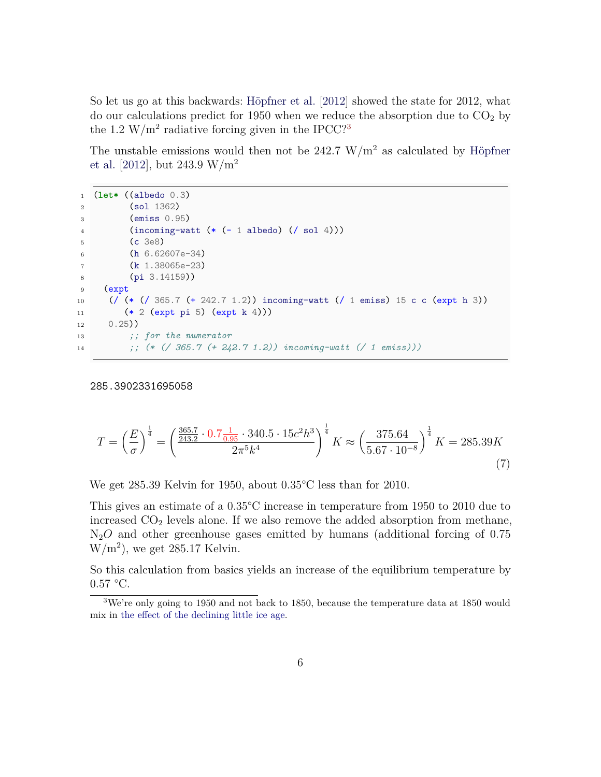So let us go at this backwards: [Höpfner et al.](#page-7-7) [\[2012\]](#page-7-7) showed the state for 2012, what do our calculations predict for 1950 when we reduce the absorption due to  $CO<sub>2</sub>$  by the 1.2  $\text{W/m}^2$  radiative forcing given in the IPCC?<sup>[3](#page-5-0)</sup>

The unstable emissions would then not be 242.7  $W/m^2$  as calculated by [Höpfner](#page-7-7) [et al.](#page-7-7) [\[2012\]](#page-7-7), but 243.9 W/m<sup>2</sup>

```
1 (let* ((albedo 0.3)
2 (sol 1362)
3 (emiss 0.95)
4 (incoming-watt (* (- 1 albedo) (/ sol 4)))
5 (c 3e8)
6 (h 6.62607e-34)
7 (k 1.38065e-23)
8 (pi 3.14159))
9 (expt
10 (/ (* (/ 365.7 (+ 242.7 1.2)) incoming-watt (/ 1 emiss) 15 c c (expt h 3))
11 (* 2 (expt pi 5) (expt k 4)))
12 \qquad 0.25)13 ;; for the numerator
14 ;; (* (/ 365.7 (+ 242.7 1.2)) incoming-watt (/ 1 emiss)))
```
285.3902331695058

$$
T = \left(\frac{E}{\sigma}\right)^{\frac{1}{4}} = \left(\frac{\frac{365.7}{243.2} \cdot 0.7 \frac{1}{0.95} \cdot 340.5 \cdot 15c^2 h^3}{2\pi^5 k^4}\right)^{\frac{1}{4}} K \approx \left(\frac{375.64}{5.67 \cdot 10^{-8}}\right)^{\frac{1}{4}} K = 285.39 K\tag{7}
$$

We get 285.39 Kelvin for 1950, about 0.35°C less than for 2010.

This gives an estimate of a 0.35°C increase in temperature from 1950 to 2010 due to increased  $CO<sub>2</sub>$  levels alone. If we also remove the added absorption from methane, N2*O* and other greenhouse gases emitted by humans (additional forcing of 0.75  $\mathrm{W/m^2}$ , we get 285.17 Kelvin.

So this calculation from basics yields an increase of the equilibrium temperature by 0.57 °C.

<span id="page-5-0"></span><sup>3</sup>We're only going to 1950 and not back to 1850, because the temperature data at 1850 would mix in [the effect of the declining little ice age.](https://en.wikipedia.org/wiki/Little_Ice_Age)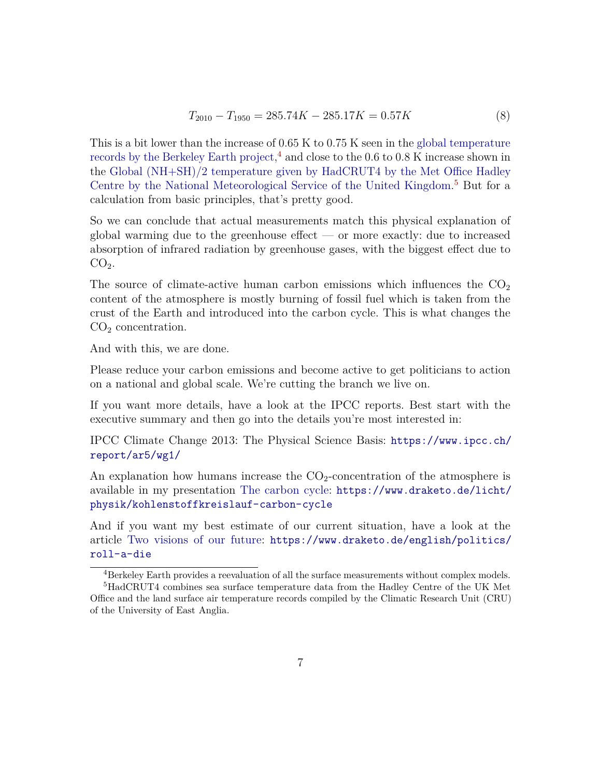$$
T_{2010} - T_{1950} = 285.74K - 285.17K = 0.57K
$$
\n<sup>(8)</sup>

This is a bit lower than the increase of 0.65 K to 0.75 K seen in the [global temperature](http://berkeleyearth.org/2018-temperatures/) [records by the Berkeley Earth project,](http://berkeleyearth.org/2018-temperatures/) [4](#page-6-0) and close to the 0.6 to 0.8 K increase shown in the [Global \(NH+SH\)/2 temperature given by HadCRUT4 by the Met Office Hadley](https://www.metoffice.gov.uk/hadobs/hadcrut4/diagnostics.html) [Centre by the National Meteorological Service of the United Kingdom.](https://www.metoffice.gov.uk/hadobs/hadcrut4/diagnostics.html) [5](#page-6-1) But for a calculation from basic principles, that's pretty good.

So we can conclude that actual measurements match this physical explanation of global warming due to the greenhouse effect — or more exactly: due to increased absorption of infrared radiation by greenhouse gases, with the biggest effect due to  $CO<sub>2</sub>$ .

The source of climate-active human carbon emissions which influences the  $CO<sub>2</sub>$ content of the atmosphere is mostly burning of fossil fuel which is taken from the crust of the Earth and introduced into the carbon cycle. This is what changes the  $CO<sub>2</sub>$  concentration.

And with this, we are done.

Please reduce your carbon emissions and become active to get politicians to action on a national and global scale. We're cutting the branch we live on.

If you want more details, have a look at the IPCC reports. Best start with the executive summary and then go into the details you're most interested in:

IPCC Climate Change 2013: The Physical Science Basis: [https://www.ipcc.ch/](https://www.ipcc.ch/report/ar5/wg1/) [report/ar5/wg1/](https://www.ipcc.ch/report/ar5/wg1/)

An explanation how humans increase the  $CO<sub>2</sub>$ -concentration of the atmosphere is available in my presentation [The carbon cycle:](https://www.draketo.de/licht/physik/kohlenstoffkreislauf-carbon-cycle) [https://www.draketo.de/licht/](https://www.draketo.de/licht/physik/kohlenstoffkreislauf-carbon-cycle) [physik/kohlenstoffkreislauf-carbon-cycle](https://www.draketo.de/licht/physik/kohlenstoffkreislauf-carbon-cycle)

And if you want my best estimate of our current situation, have a look at the article [Two visions of our future:](https://www.draketo.de/english/politics/roll-a-die) [https://www.draketo.de/english/politics/](https://www.draketo.de/english/politics/roll-a-die) [roll-a-die](https://www.draketo.de/english/politics/roll-a-die)

<span id="page-6-1"></span><span id="page-6-0"></span><sup>4</sup>Berkeley Earth provides a reevaluation of all the surface measurements without complex models.

<sup>5</sup>HadCRUT4 combines sea surface temperature data from the Hadley Centre of the UK Met Office and the land surface air temperature records compiled by the Climatic Research Unit (CRU) of the University of East Anglia.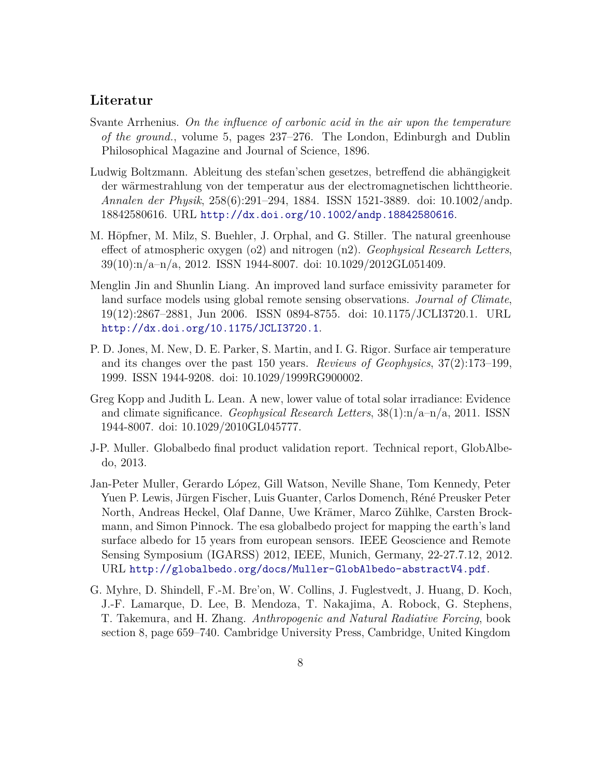## **Literatur**

- <span id="page-7-6"></span>Svante Arrhenius. *On the influence of carbonic acid in the air upon the temperature of the ground.*, volume 5, pages 237–276. The London, Edinburgh and Dublin Philosophical Magazine and Journal of Science, 1896.
- <span id="page-7-0"></span>Ludwig Boltzmann. Ableitung des stefan'schen gesetzes, betreffend die abhängigkeit der wärmestrahlung von der temperatur aus der electromagnetischen lichttheorie. *Annalen der Physik*, 258(6):291–294, 1884. ISSN 1521-3889. doi: 10.1002/andp. 18842580616. URL <http://dx.doi.org/10.1002/andp.18842580616>.
- <span id="page-7-7"></span>M. Höpfner, M. Milz, S. Buehler, J. Orphal, and G. Stiller. The natural greenhouse effect of atmospheric oxygen (o2) and nitrogen (n2). *Geophysical Research Letters*, 39(10):n/a–n/a, 2012. ISSN 1944-8007. doi: 10.1029/2012GL051409.
- <span id="page-7-5"></span>Menglin Jin and Shunlin Liang. An improved land surface emissivity parameter for land surface models using global remote sensing observations. *Journal of Climate*, 19(12):2867–2881, Jun 2006. ISSN 0894-8755. doi: 10.1175/JCLI3720.1. URL <http://dx.doi.org/10.1175/JCLI3720.1>.
- <span id="page-7-2"></span>P. D. Jones, M. New, D. E. Parker, S. Martin, and I. G. Rigor. Surface air temperature and its changes over the past 150 years. *Reviews of Geophysics*, 37(2):173–199, 1999. ISSN 1944-9208. doi: 10.1029/1999RG900002.
- <span id="page-7-1"></span>Greg Kopp and Judith L. Lean. A new, lower value of total solar irradiance: Evidence and climate significance. *Geophysical Research Letters*, 38(1):n/a–n/a, 2011. ISSN 1944-8007. doi: 10.1029/2010GL045777.
- <span id="page-7-4"></span>J-P. Muller. Globalbedo final product validation report. Technical report, GlobAlbedo, 2013.
- <span id="page-7-3"></span>Jan-Peter Muller, Gerardo López, Gill Watson, Neville Shane, Tom Kennedy, Peter Yuen P. Lewis, Jürgen Fischer, Luis Guanter, Carlos Domench, Réné Preusker Peter North, Andreas Heckel, Olaf Danne, Uwe Krämer, Marco Zühlke, Carsten Brockmann, and Simon Pinnock. The esa globalbedo project for mapping the earth's land surface albedo for 15 years from european sensors. IEEE Geoscience and Remote Sensing Symposium (IGARSS) 2012, IEEE, Munich, Germany, 22-27.7.12, 2012. URL <http://globalbedo.org/docs/Muller-GlobAlbedo-abstractV4.pdf>.
- <span id="page-7-8"></span>G. Myhre, D. Shindell, F.-M. Bre'on, W. Collins, J. Fuglestvedt, J. Huang, D. Koch, J.-F. Lamarque, D. Lee, B. Mendoza, T. Nakajima, A. Robock, G. Stephens, T. Takemura, and H. Zhang. *Anthropogenic and Natural Radiative Forcing*, book section 8, page 659–740. Cambridge University Press, Cambridge, United Kingdom